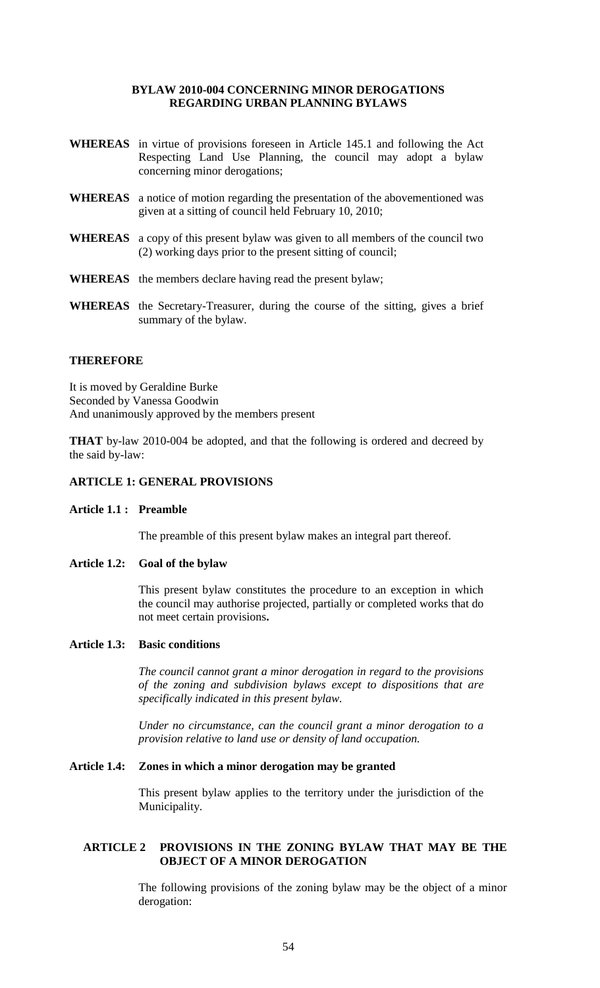### **BYLAW 2010-004 CONCERNING MINOR DEROGATIONS REGARDING URBAN PLANNING BYLAWS**

- **WHEREAS** in virtue of provisions foreseen in Article 145.1 and following the Act Respecting Land Use Planning, the council may adopt a bylaw concerning minor derogations;
- **WHEREAS** a notice of motion regarding the presentation of the abovementioned was given at a sitting of council held February 10, 2010;
- **WHEREAS** a copy of this present bylaw was given to all members of the council two (2) working days prior to the present sitting of council;
- **WHEREAS** the members declare having read the present bylaw;
- **WHEREAS** the Secretary-Treasurer, during the course of the sitting, gives a brief summary of the bylaw.

### **THEREFORE**

It is moved by Geraldine Burke Seconded by Vanessa Goodwin And unanimously approved by the members present

**THAT** by-law 2010-004 be adopted, and that the following is ordered and decreed by the said by-law:

# **ARTICLE 1: GENERAL PROVISIONS**

#### **Article 1.1 : Preamble**

The preamble of this present bylaw makes an integral part thereof.

#### **Article 1.2: Goal of the bylaw**

This present bylaw constitutes the procedure to an exception in which the council may authorise projected, partially or completed works that do not meet certain provisions**.**

### **Article 1.3: Basic conditions**

*The council cannot grant a minor derogation in regard to the provisions of the zoning and subdivision bylaws except to dispositions that are specifically indicated in this present bylaw.*

*Under no circumstance, can the council grant a minor derogation to a provision relative to land use or density of land occupation.*

#### **Article 1.4: Zones in which a minor derogation may be granted**

This present bylaw applies to the territory under the jurisdiction of the Municipality.

# **ARTICLE 2 PROVISIONS IN THE ZONING BYLAW THAT MAY BE THE OBJECT OF A MINOR DEROGATION**

The following provisions of the zoning bylaw may be the object of a minor derogation: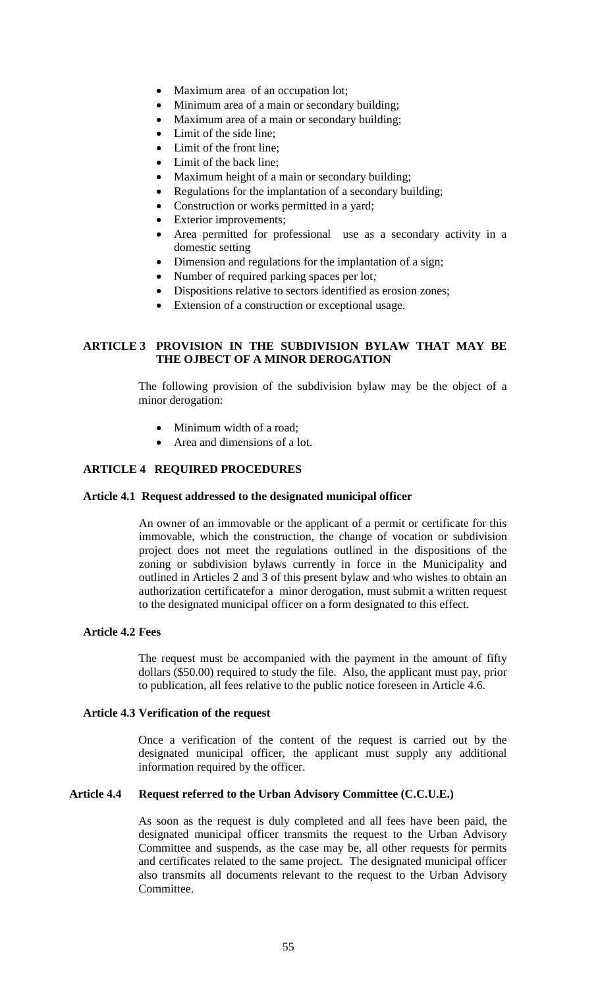- Maximum area of an occupation lot;
- Minimum area of a main or secondary building;
- Maximum area of a main or secondary building;
- Limit of the side line;
- Limit of the front line;
- Limit of the back line:
- Maximum height of a main or secondary building;
- Regulations for the implantation of a secondary building;
- Construction or works permitted in a yard;
- Exterior improvements;
- Area permitted for professional use as a secondary activity in a domestic setting
- Dimension and regulations for the implantation of a sign;
- Number of required parking spaces per lot*;*
- Dispositions relative to sectors identified as erosion zones;
- Extension of a construction or exceptional usage.

# **ARTICLE 3 PROVISION IN THE SUBDIVISION BYLAW THAT MAY BE THE OJBECT OF A MINOR DEROGATION**

The following provision of the subdivision bylaw may be the object of a minor derogation:

- Minimum width of a road;
- Area and dimensions of a lot.

# **ARTICLE 4 REQUIRED PROCEDURES**

### **Article 4.1 Request addressed to the designated municipal officer**

An owner of an immovable or the applicant of a permit or certificate for this immovable, which the construction, the change of vocation or subdivision project does not meet the regulations outlined in the dispositions of the zoning or subdivision bylaws currently in force in the Municipality and outlined in Articles 2 and 3 of this present bylaw and who wishes to obtain an authorization certificatefor a minor derogation, must submit a written request to the designated municipal officer on a form designated to this effect.

# **Article 4.2 Fees**

The request must be accompanied with the payment in the amount of fifty dollars (\$50.00) required to study the file. Also, the applicant must pay, prior to publication, all fees relative to the public notice foreseen in Article 4.6.

# **Article 4.3 Verification of the request**

Once a verification of the content of the request is carried out by the designated municipal officer, the applicant must supply any additional information required by the officer.

# **Article 4.4 Request referred to the Urban Advisory Committee (C.C.U.E.)**

As soon as the request is duly completed and all fees have been paid, the designated municipal officer transmits the request to the Urban Advisory Committee and suspends, as the case may be, all other requests for permits and certificates related to the same project. The designated municipal officer also transmits all documents relevant to the request to the Urban Advisory Committee.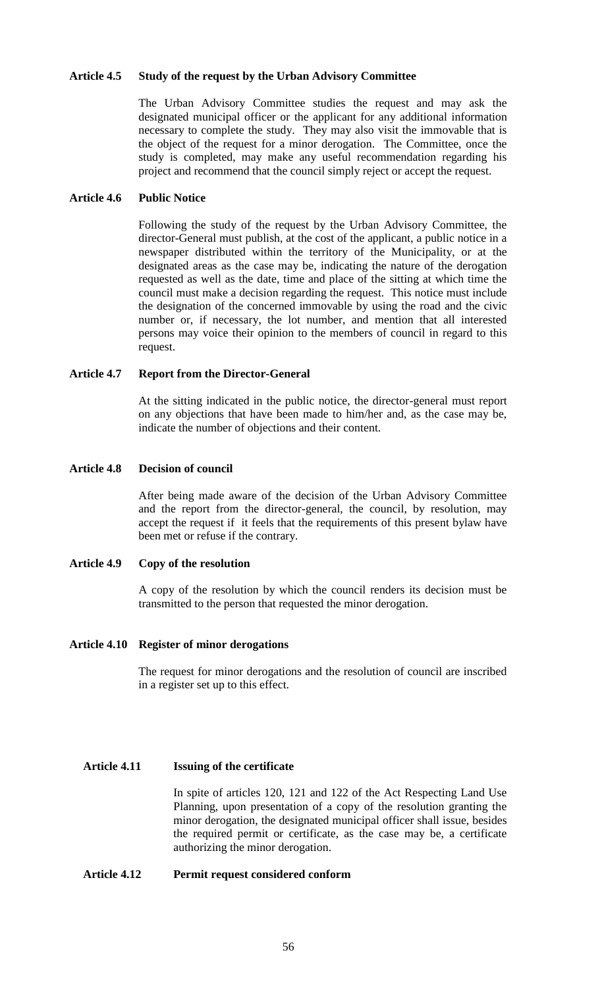#### **Article 4.5 Study of the request by the Urban Advisory Committee**

The Urban Advisory Committee studies the request and may ask the designated municipal officer or the applicant for any additional information necessary to complete the study. They may also visit the immovable that is the object of the request for a minor derogation. The Committee, once the study is completed, may make any useful recommendation regarding his project and recommend that the council simply reject or accept the request.

### **Article 4.6 Public Notice**

Following the study of the request by the Urban Advisory Committee, the director-General must publish, at the cost of the applicant, a public notice in a newspaper distributed within the territory of the Municipality, or at the designated areas as the case may be, indicating the nature of the derogation requested as well as the date, time and place of the sitting at which time the council must make a decision regarding the request. This notice must include the designation of the concerned immovable by using the road and the civic number or, if necessary, the lot number, and mention that all interested persons may voice their opinion to the members of council in regard to this request.

# **Article 4.7 Report from the Director-General**

At the sitting indicated in the public notice, the director-general must report on any objections that have been made to him/her and, as the case may be, indicate the number of objections and their content.

### **Article 4.8 Decision of council**

After being made aware of the decision of the Urban Advisory Committee and the report from the director-general, the council, by resolution, may accept the request if it feels that the requirements of this present bylaw have been met or refuse if the contrary.

# **Article 4.9 Copy of the resolution**

A copy of the resolution by which the council renders its decision must be transmitted to the person that requested the minor derogation.

# **Article 4.10 Register of minor derogations**

The request for minor derogations and the resolution of council are inscribed in a register set up to this effect.

# **Article 4.11 Issuing of the certificate**

In spite of articles 120, 121 and 122 of the Act Respecting Land Use Planning, upon presentation of a copy of the resolution granting the minor derogation, the designated municipal officer shall issue, besides the required permit or certificate, as the case may be, a certificate authorizing the minor derogation.

# **Article 4.12 Permit request considered conform**